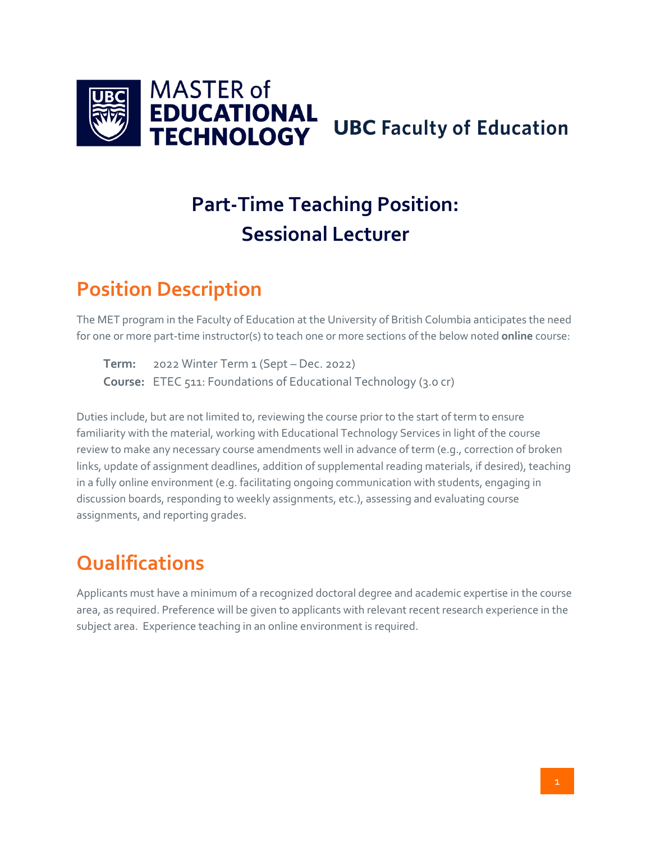

# **Part-Time Teaching Position: Sessional Lecturer**

#### **Position Description**

The MET program in the Faculty of Education at the University of British Columbia anticipates the need for one or more part-time instructor(s) to teach one or more sections of the below noted **online** course:

**Term:** 2022 Winter Term 1 (Sept – Dec. 2022) **Course:** ETEC 511: Foundations of Educational Technology (3.0 cr)

Duties include, but are not limited to, reviewing the course prior to the start of term to ensure familiarity with the material, working with Educational Technology Services in light of the course review to make any necessary course amendments well in advance of term (e.g., correction of broken links, update of assignment deadlines, addition of supplemental reading materials, if desired), teaching in a fully online environment (e.g. facilitating ongoing communication with students, engaging in discussion boards, responding to weekly assignments, etc.), assessing and evaluating course assignments, and reporting grades.

#### **Qualifications**

Applicants must have a minimum of a recognized doctoral degree and academic expertise in the course area, as required. Preference will be given to applicants with relevant recent research experience in the subject area. Experience teaching in an online environment is required.